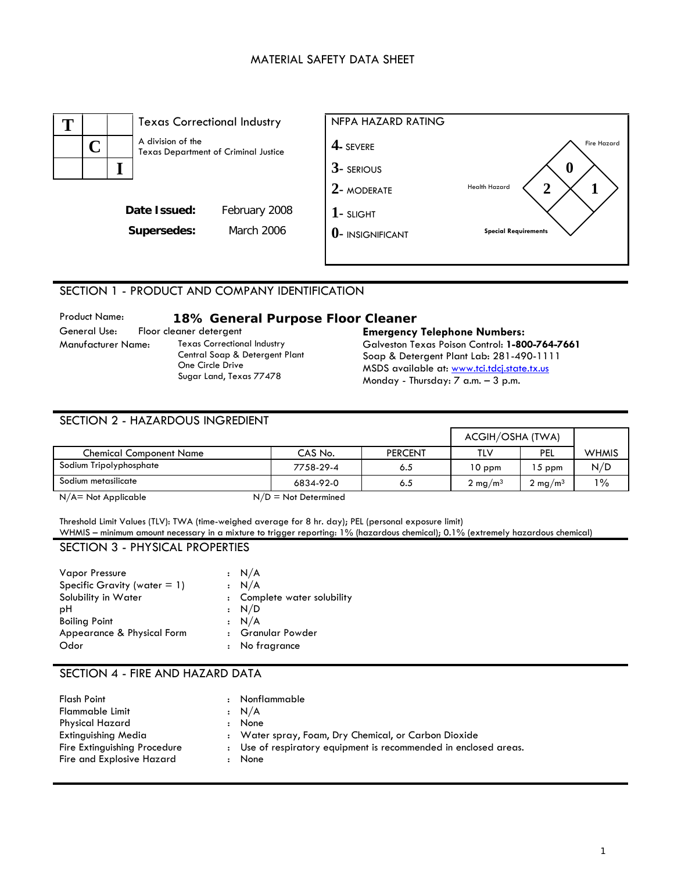#### MATERIAL SAFETY DATA SHEET



#### SECTION 1 - PRODUCT AND COMPANY IDENTIFICATION

# Product Name: **18% General Purpose Floor Cleaner**

General Use: Floor cleaner detergent **Emergency Telephone Numbers:**<br>280 Manufacturer Name: Texas Correctional Industry **Calveston Texas Poison Control: 1-80** Texas Correctional Industry Central Soap & Detergent Plant One Circle Drive Sugar Land, Texas 77478

Galveston Texas Poison Control: **1-800-764-7661** Soap & Detergent Plant Lab: 281-490-1111 MSDS available at: [www.tci.tdcj.state.tx.us](http://www.tci.tdcj.state.tx.us/) Monday - Thursday: 7 a.m. – 3 p.m.

| SECTION 2 - HAZARDOUS INGREDIENT |                        |                |                    |                    |              |
|----------------------------------|------------------------|----------------|--------------------|--------------------|--------------|
|                                  |                        |                | ACGIH/OSHA (TWA)   |                    |              |
| <b>Chemical Component Name</b>   | CAS No.                | <b>PERCENT</b> | TLV                | PEL                | <b>WHMIS</b> |
| Sodium Tripolyphosphate          | 7758-29-4              | 6.5            | $10$ ppm           | $15$ ppm           | N/D          |
| Sodium metasilicate              | 6834-92-0              | 6.5            | $2 \text{ mg/m}^3$ | $2 \text{ mg/m}^3$ | $1\%$        |
| $N/A = Not Appliedbe$            | $N/D = Not$ Determined |                |                    |                    |              |

Threshold Limit Values (TLV): TWA (time-weighed average for 8 hr. day); PEL (personal exposure limit) WHMIS – minimum amount necessary in a mixture to trigger reporting: 1% (hazardous chemical); 0.1% (extremely hazardous chemical)

#### SECTION 3 - PHYSICAL PROPERTIES

| <b>Vapor Pressure</b>           | : N/A                       |
|---------------------------------|-----------------------------|
| Specific Gravity (water $= 1$ ) | : N/A                       |
| Solubility in Water             | : Complete water solubility |
| рH                              | : N/D                       |
| <b>Boiling Point</b>            | : N/A                       |
| Appearance & Physical Form      | : Granular Powder           |
| Odor                            | : No fragrance              |

## SECTION 4 - FIRE AND HAZARD DATA

| <b>Flash Point</b>           | $\cdot$ :            | Nonflammable                                                     |
|------------------------------|----------------------|------------------------------------------------------------------|
| Flammable Limit              |                      | $\cdot$ N/A                                                      |
| Physical Hazard              | $\ddot{\phantom{a}}$ | None                                                             |
| Extinguishing Media          |                      | : Water spray, Foam, Dry Chemical, or Carbon Dioxide             |
| Fire Extinguishing Procedure |                      | : Use of respiratory equipment is recommended in enclosed areas. |
| Fire and Explosive Hazard    |                      | : None                                                           |